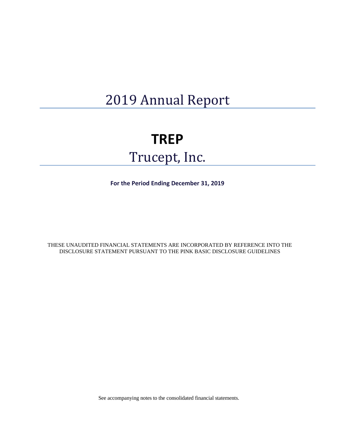# 2019 Annual Report

## **TREP**

# Trucept, Inc.

**For the Period Ending December 31, 2019**

THESE UNAUDITED FINANCIAL STATEMENTS ARE INCORPORATED BY REFERENCE INTO THE DISCLOSURE STATEMENT PURSUANT TO THE PINK BASIC DISCLOSURE GUIDELINES

See accompanying notes to the consolidated financial statements.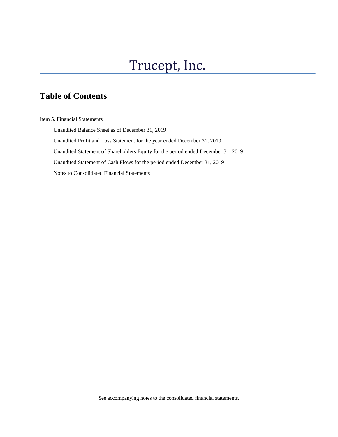## Trucept, Inc.

## **Table of Contents**

Item 5. Financial Statements

 Unaudited Balance Sheet as of December 31, 2019 Unaudited Profit and Loss Statement for the year ended December 31, 2019 Unaudited Statement of Shareholders Equity for the period ended December 31, 2019 Unaudited Statement of Cash Flows for the period ended December 31, 2019 Notes to Consolidated Financial Statements

See accompanying notes to the consolidated financial statements.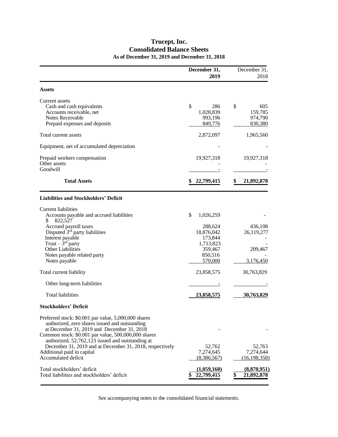### **Trucept, Inc. Consolidated Balance Sheets As of December 31, 2019 and December 31, 2018**

|                                                                                                                                                                                                                                                                 | December 31,<br>2019                          | December 31,<br>2018                  |
|-----------------------------------------------------------------------------------------------------------------------------------------------------------------------------------------------------------------------------------------------------------------|-----------------------------------------------|---------------------------------------|
| <b>Assets</b>                                                                                                                                                                                                                                                   |                                               |                                       |
| Current assets<br>Cash and cash equivalents<br>Accounts receivable, net                                                                                                                                                                                         | \$<br>286<br>1,028,839                        | \$<br>605<br>159,785                  |
| Notes Receivable<br>Prepaid expenses and deposits                                                                                                                                                                                                               | 993,196<br>849,776                            | 974,790<br>830,380                    |
| Total current assets                                                                                                                                                                                                                                            | 2,872,097                                     | 1,965,560                             |
| Equipment, net of accumulated depreciation                                                                                                                                                                                                                      |                                               |                                       |
| Prepaid workers compensation<br>Other assets<br>Goodwill                                                                                                                                                                                                        | 19,927,318                                    | 19,927,318                            |
| <b>Total Assets</b>                                                                                                                                                                                                                                             | 22,799,415                                    | 21,892,878                            |
| <b>Liabilities and Stockholders' Deficit</b>                                                                                                                                                                                                                    |                                               |                                       |
| Current liabilities<br>Accounts payable and accrued liabilities<br>822,527<br>S                                                                                                                                                                                 | \$<br>1,026,259                               |                                       |
| Accrued payroll taxes<br>Disputed 3rd party liabilities<br>Interest payable<br>Trust $-\bar{3}$ <sup>rd</sup> party                                                                                                                                             | 288,624<br>18,876,042<br>173,844<br>1,713,823 | 436,108<br>26,119,277                 |
| Other Liabilities<br>Notes payable related party<br>Notes payable                                                                                                                                                                                               | 359,467<br>850,516<br>570,000                 | 209,467<br>3,176,450                  |
| Total current liability                                                                                                                                                                                                                                         | 23,858,575                                    | 30,763,829                            |
| Other long-term liabilities                                                                                                                                                                                                                                     |                                               |                                       |
| <b>Total liabilities</b>                                                                                                                                                                                                                                        | 23,858,575                                    | 30,763,829                            |
| <b>Stockholders' Deficit</b>                                                                                                                                                                                                                                    |                                               |                                       |
| Preferred stock: \$0.001 par value, 5,000,000 shares<br>authorized, zero shares issued and outstanding<br>at December 31, 2019 and December 31, 2018<br>Common stock: \$0.001 par value, 500,000,000 shares<br>authorized, 52,762,123 issued and outstanding at |                                               |                                       |
| December 31, 2019 and at December 31, 2018, respectively<br>Additional paid in capital<br>Accumulated deficit                                                                                                                                                   | 52,762<br>7,274,645<br>(8,386,567)            | 52,763<br>7,274,644<br>(16, 198, 358) |
| Total stockholders' deficit<br>Total liabilities and stockholders' deficit                                                                                                                                                                                      | (1,059,160)<br>22,799,415                     | (8,870,951)<br>21,892,878             |

See accompanying notes to the consolidated financial statements.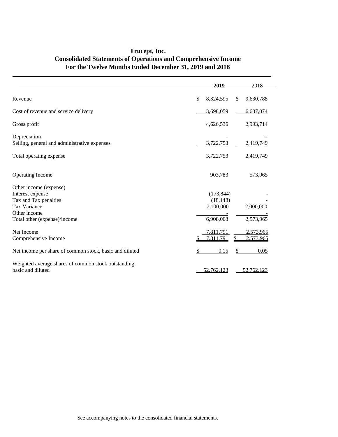|                                                                           |               | 2019       |    | 2018       |
|---------------------------------------------------------------------------|---------------|------------|----|------------|
| Revenue                                                                   | $\mathsf{\$}$ | 8,324,595  | \$ | 9,630,788  |
| Cost of revenue and service delivery                                      |               | 3,698,059  |    | 6,637,074  |
| Gross profit                                                              |               | 4,626,536  |    | 2,993,714  |
| Depreciation<br>Selling, general and administrative expenses              |               | 3,722,753  |    | 2,419,749  |
| Total operating expense                                                   |               | 3,722,753  |    | 2,419,749  |
| <b>Operating Income</b>                                                   |               | 903,783    |    | 573,965    |
| Other income (expense)                                                    |               |            |    |            |
| Interest expense                                                          |               | (173, 844) |    |            |
| Tax and Tax penalties                                                     |               | (18, 148)  |    |            |
| Tax Variance                                                              |               | 7,100,000  |    | 2,000,000  |
| Other income                                                              |               |            |    |            |
| Total other (expense)/income                                              |               | 6,908,008  |    | 2,573,965  |
| Net Income                                                                |               | 7,811,791  |    | 2,573,965  |
| Comprehensive Income                                                      | S             | 7,811,791  | S  | 2,573,965  |
| Net income per share of common stock, basic and diluted                   | \$            | 0.15       |    | 0.05       |
| Weighted average shares of common stock outstanding,<br>basic and diluted |               | 52,762,123 |    | 52,762,123 |

### **Trucept, Inc. Consolidated Statements of Operations and Comprehensive Income For the Twelve Months Ended December 31, 2019 and 2018**

l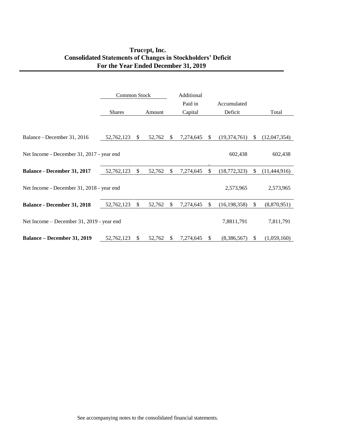### **Truc**e**pt, Inc. Consolidated Statements of Changes in Stockholders' Deficit For the Year Ended December 31, 2019**

|                                           | Common Stock  |              | Additional |    |           |               |                |              |              |
|-------------------------------------------|---------------|--------------|------------|----|-----------|---------------|----------------|--------------|--------------|
|                                           |               |              |            |    | Paid in   |               | Accumulated    |              |              |
|                                           | <b>Shares</b> |              | Amount     |    | Capital   |               | Deficit        |              | Total        |
|                                           |               |              |            |    |           |               |                |              |              |
| Balance - December 31, 2016               | 52,762,123    | \$.          | 52,762     | S. | 7,274,645 | \$.           | (19,374,761)   | S.           | (12,047,354) |
|                                           |               |              |            |    |           |               |                |              |              |
| Net Income - December 31, 2017 - year end |               |              |            |    |           |               | 602,438        |              | 602,438      |
| <b>Balance - December 31, 2017</b>        | 52,762,123    | \$           | 52,762     | S  | 7,274,645 | -S            | (18,772,323)   | S.           | (11,444,916) |
|                                           |               |              |            |    |           |               |                |              |              |
| Net Income - December 31, 2018 - year end |               |              |            |    |           |               | 2,573,965      |              | 2,573,965    |
| <b>Balance - December 31, 2018</b>        | 52,762,123    | $\mathbb{S}$ | 52,762     | S. | 7,274,645 | \$.           | (16, 198, 358) | $\mathbb{S}$ | (8,870,951)  |
|                                           |               |              |            |    |           |               |                |              |              |
| Net Income – December 31, 2019 - year end |               |              |            |    |           |               | 7,8811,791     |              | 7,811,791    |
| <b>Balance – December 31, 2019</b>        | 52,762,123    | \$.          | 52,762     | S  | 7,274,645 | <sup>\$</sup> | (8,386,567)    | <sup>S</sup> | (1,059,160)  |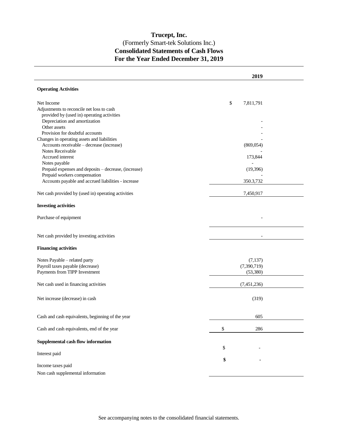### **Trucept, Inc.** (Formerly Smart-tek Solutions Inc.) **Consolidated Statements of Cash Flows For the Year Ended December 31, 2019**

|                                                                   | 2019                      |  |
|-------------------------------------------------------------------|---------------------------|--|
| <b>Operating Activities</b>                                       |                           |  |
| Net Income                                                        | \$<br>7,811,791           |  |
| Adjustments to reconcile net loss to cash                         |                           |  |
| provided by (used in) operating activities                        |                           |  |
| Depreciation and amortization                                     |                           |  |
| Other assets                                                      |                           |  |
| Provision for doubtful accounts                                   |                           |  |
| Changes in operating assets and liabilities                       |                           |  |
| Accounts receivable - decrease (increase)                         | (869, 054)                |  |
| Notes Receivable                                                  |                           |  |
| Accrued interest<br>Notes payable                                 | 173,844<br>$\overline{a}$ |  |
| Prepaid expenses and deposits - decrease, (increase)              | (19,396)                  |  |
| Prepaid workers compensation                                      |                           |  |
| Accounts payable and accrued liabilities - increase               | 350.3,732                 |  |
| Net cash provided by (used in) operating activities               | 7,450,917                 |  |
| <b>Investing activities</b>                                       |                           |  |
| Purchase of equipment                                             |                           |  |
|                                                                   |                           |  |
| Net cash provided by investing activities                         |                           |  |
| <b>Financing activities</b>                                       |                           |  |
|                                                                   |                           |  |
| Notes Payable - related party<br>Payroll taxes payable (decrease) | (7,137)<br>(7,390,719)    |  |
| Payments from TIPP Investment                                     | (53, 380)                 |  |
|                                                                   |                           |  |
| Net cash used in financing activities                             | (7,451,236)               |  |
|                                                                   |                           |  |
| Net increase (decrease) in cash                                   | (319)                     |  |
| Cash and cash equivalents, beginning of the year                  | 605                       |  |
|                                                                   |                           |  |
| Cash and cash equivalents, end of the year                        | \$<br>286                 |  |
| Supplemental cash flow information                                |                           |  |
|                                                                   | \$                        |  |
| Interest paid                                                     |                           |  |
|                                                                   | \$                        |  |
| Income taxes paid                                                 |                           |  |
| Non cash supplemental information                                 |                           |  |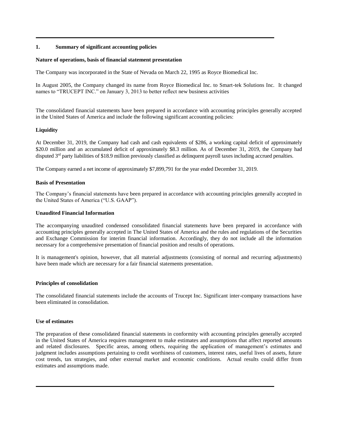#### **1. Summary of significant accounting policies**

#### **Nature of operations, basis of financial statement presentation**

The Company was incorporated in the State of Nevada on March 22, 1995 as Royce Biomedical Inc.

In August 2005, the Company changed its name from Royce Biomedical Inc. to Smart-tek Solutions Inc. It changed names to "TRUCEPT INC." on January 3, 2013 to better reflect new business activities

The consolidated financial statements have been prepared in accordance with accounting principles generally accepted in the United States of America and include the following significant accounting policies:

#### **Liquidity**

At December 31, 2019, the Company had cash and cash equivalents of \$286, a working capital deficit of approximately \$20.0 million and an accumulated deficit of approximately \$8.3 million. As of December 31, 2019, the Company had disputed 3<sup>rd</sup> party liabilities of \$18.9 million previously classified as delinquent payroll taxes including accrued penalties.

The Company earned a net income of approximately \$7,899,791 for the year ended December 31, 2019.

#### **Basis of Presentation**

The Company's financial statements have been prepared in accordance with accounting principles generally accepted in the United States of America ("U.S. GAAP").

#### **Unaudited Financial Information**

The accompanying unaudited condensed consolidated financial statements have been prepared in accordance with accounting principles generally accepted in The United States of America and the rules and regulations of the Securities and Exchange Commission for interim financial information. Accordingly, they do not include all the information necessary for a comprehensive presentation of financial position and results of operations.

It is management's opinion, however, that all material adjustments (consisting of normal and recurring adjustments) have been made which are necessary for a fair financial statements presentation.

#### **Principles of consolidation**

The consolidated financial statements include the accounts of Trucept Inc. Significant inter-company transactions have been eliminated in consolidation.

#### **Use of estimates**

The preparation of these consolidated financial statements in conformity with accounting principles generally accepted in the United States of America requires management to make estimates and assumptions that affect reported amounts and related disclosures. Specific areas, among others, requiring the application of management's estimates and judgment includes assumptions pertaining to credit worthiness of customers, interest rates, useful lives of assets, future cost trends, tax strategies, and other external market and economic conditions. Actual results could differ from estimates and assumptions made.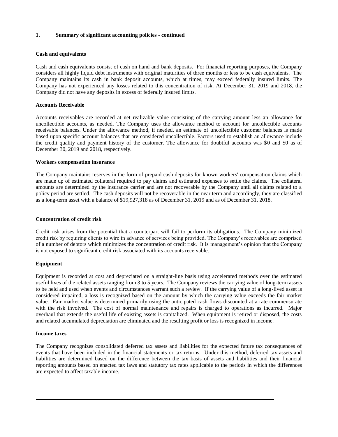#### **1. Summary of significant accounting policies - continued**

#### **Cash and equivalents**

Cash and cash equivalents consist of cash on hand and bank deposits. For financial reporting purposes, the Company considers all highly liquid debt instruments with original maturities of three months or less to be cash equivalents. The Company maintains its cash in bank deposit accounts, which at times, may exceed federally insured limits. The Company has not experienced any losses related to this concentration of risk. At December 31, 2019 and 2018, the Company did not have any deposits in excess of federally insured limits.

#### **Accounts Receivable**

Accounts receivables are recorded at net realizable value consisting of the carrying amount less an allowance for uncollectible accounts, as needed. The Company uses the allowance method to account for uncollectible accounts receivable balances. Under the allowance method, if needed, an estimate of uncollectible customer balances is made based upon specific account balances that are considered uncollectible. Factors used to establish an allowance include the credit quality and payment history of the customer. The allowance for doubtful accounts was \$0 and \$0 as of December 30, 2019 and 2018, respectively.

#### **Workers compensation insurance**

The Company maintains reserves in the form of prepaid cash deposits for known workers' compensation claims which are made up of estimated collateral required to pay claims and estimated expenses to settle the claims. The collateral amounts are determined by the insurance carrier and are not recoverable by the Company until all claims related to a policy period are settled. The cash deposits will not be recoverable in the near term and accordingly, they are classified as a long-term asset with a balance of \$19,927,318 as of December 31, 2019 and as of December 31, 2018.

#### **Concentration of credit risk**

Credit risk arises from the potential that a counterpart will fail to perform its obligations. The Company minimized credit risk by requiring clients to wire in advance of services being provided. The Company's receivables are comprised of a number of debtors which minimizes the concentration of credit risk. It is management's opinion that the Company is not exposed to significant credit risk associated with its accounts receivable.

#### **Equipment**

Equipment is recorded at cost and depreciated on a straight-line basis using accelerated methods over the estimated useful lives of the related assets ranging from 3 to 5 years. The Company reviews the carrying value of long-term assets to be held and used when events and circumstances warrant such a review. If the carrying value of a long-lived asset is considered impaired, a loss is recognized based on the amount by which the carrying value exceeds the fair market value. Fair market value is determined primarily using the anticipated cash flows discounted at a rate commensurate with the risk involved. The cost of normal maintenance and repairs is charged to operations as incurred. Major overhaul that extends the useful life of existing assets is capitalized. When equipment is retired or disposed, the costs and related accumulated depreciation are eliminated and the resulting profit or loss is recognized in income.

#### **Income taxes**

The Company recognizes consolidated deferred tax assets and liabilities for the expected future tax consequences of events that have been included in the financial statements or tax returns. Under this method, deferred tax assets and liabilities are determined based on the difference between the tax basis of assets and liabilities and their financial reporting amounts based on enacted tax laws and statutory tax rates applicable to the periods in which the differences are expected to affect taxable income.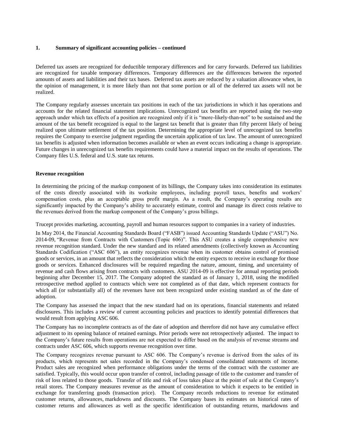#### **1. Summary of significant accounting policies – continued**

Deferred tax assets are recognized for deductible temporary differences and for carry forwards. Deferred tax liabilities are recognized for taxable temporary differences. Temporary differences are the differences between the reported amounts of assets and liabilities and their tax bases. Deferred tax assets are reduced by a valuation allowance when, in the opinion of management, it is more likely than not that some portion or all of the deferred tax assets will not be realized.

The Company regularly assesses uncertain tax positions in each of the tax jurisdictions in which it has operations and accounts for the related financial statement implications. Unrecognized tax benefits are reported using the two-step approach under which tax effects of a position are recognized only if it is "more-likely-than-not" to be sustained and the amount of the tax benefit recognized is equal to the largest tax benefit that is greater than fifty percent likely of being realized upon ultimate settlement of the tax position. Determining the appropriate level of unrecognized tax benefits requires the Company to exercise judgment regarding the uncertain application of tax law. The amount of unrecognized tax benefits is adjusted when information becomes available or when an event occurs indicating a change is appropriate. Future changes in unrecognized tax benefits requirements could have a material impact on the results of operations. The Company files U.S. federal and U.S. state tax returns.

#### **Revenue recognition**

In determining the pricing of the markup component of its billings, the Company takes into consideration its estimates of the costs directly associated with its worksite employees, including payroll taxes, benefits and workers' compensation costs, plus an acceptable gross profit margin. As a result, the Company's operating results are significantly impacted by the Company's ability to accurately estimate, control and manage its direct costs relative to the revenues derived from the markup component of the Company's gross billings.

Trucept provides marketing, accounting, payroll and human resources support to companies in a variety of industries.

In May 2014, the Financial Accounting Standards Board ("FASB") issued Accounting Standards Update ("ASU") No. 2014-09, "Revenue from Contracts with Customers (Topic 606)". This ASU creates a single comprehensive new revenue recognition standard. Under the new standard and its related amendments (collectively known as Accounting Standards Codification ("ASC 606"), an entity recognizes revenue when its customer obtains control of promised goods or services, in an amount that reflects the consideration which the entity expects to receive in exchange for those goods or services. Enhanced disclosures will be required regarding the nature, amount, timing, and uncertainty of revenue and cash flows arising from contracts with customers. ASU 2014-09 is effective for annual reporting periods beginning after December 15, 2017. The Company adopted the standard as of January 1, 2018, using the modified retrospective method applied to contracts which were not completed as of that date, which represent contracts for which all (or substantially all) of the revenues have not been recognized under existing standard as of the date of adoption.

The Company has assessed the impact that the new standard had on its operations, financial statements and related disclosures. This includes a review of current accounting policies and practices to identify potential differences that would result from applying ASC 606.

The Company has no incomplete contracts as of the date of adoption and therefore did not have any cumulative effect adjustment to its opening balance of retained earnings. Prior periods were not retrospectively adjusted. The impact to the Company's future results from operations are not expected to differ based on the analysis of revenue streams and contracts under ASC 606, which supports revenue recognition over time.

The Company recognizes revenue pursuant to ASC 606. The Company's revenue is derived from the sales of its products, which represents net sales recorded in the Company's condensed consolidated statements of income. Product sales are recognized when performance obligations under the terms of the contract with the customer are satisfied. Typically, this would occur upon transfer of control, including passage of title to the customer and transfer of risk of loss related to those goods. Transfer of title and risk of loss takes place at the point of sale at the Company's retail stores. The Company measures revenue as the amount of consideration to which it expects to be entitled in exchange for transferring goods (transaction price). The Company records reductions to revenue for estimated customer returns, allowances, markdowns and discounts. The Company bases its estimates on historical rates of customer returns and allowances as well as the specific identification of outstanding returns, markdowns and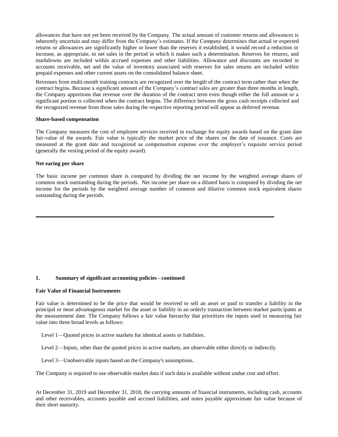allowances that have not yet been received by the Company. The actual amount of customer returns and allowances is inherently uncertain and may differ from the Company's estimates. If the Company determines that actual or expected returns or allowances are significantly higher or lower than the reserves it established, it would record a reduction or increase, as appropriate, to net sales in the period in which it makes such a determination. Reserves for returns, and markdowns are included within accrued expenses and other liabilities. Allowance and discounts are recorded in accounts receivable, net and the value of inventory associated with reserves for sales returns are included within prepaid expenses and other current assets on the consolidated balance sheet.

Revenues from multi-month training contracts are recognized over the length of the contract term rather than when the contract begins. Because a significant amount of the Company's contract sales are greater than three months in length, the Company apportions that revenue over the duration of the contract term even though either the full amount or a significant portion is collected when the contract begins. The difference between the gross cash receipts collected and the recognized revenue from those sales during the respective reporting period will appear as deferred revenue.

#### **Share-based compensation**

The Company measures the cost of employee services received in exchange for equity awards based on the grant date fair-value of the awards. Fair value is typically the market price of the shares on the date of issuance. Costs are measured at the grant date and recognized as compensation expense over the employer's requisite service period (generally the vesting period of the equity award).

#### **Net earing per share**

The basic income per common share is computed by dividing the net income by the weighted average shares of common stock outstanding during the periods. Net income per share on a diluted basis is computed by dividing the net income for the periods by the weighted average number of common and dilutive common stock equivalent shares outstanding during the periods.

#### **1. Summary of significant accounting policies - continued**

#### **Fair Value of Financial Instruments**

Fair value is determined to be the price that would be received to sell an asset or paid to transfer a liability in the principal or most advantageous market for the asset or liability in an orderly transaction between market participants at the measurement date. The Company follows a fair value hierarchy that prioritizes the inputs used in measuring fair value into three broad levels as follows:

Level 1—Quoted prices in active markets for identical assets or liabilities.

Level 2—Inputs, other than the quoted prices in active markets, are observable either directly or indirectly.

Level 3—Unobservable inputs based on the Company's assumptions.

The Company is required to use observable market data if such data is available without undue cost and effort.

At December 31, 2019 and December 31, 2018, the carrying amounts of financial instruments, including cash, accounts and other receivables, accounts payable and accrued liabilities, and notes payable approximate fair value because of their short maturity.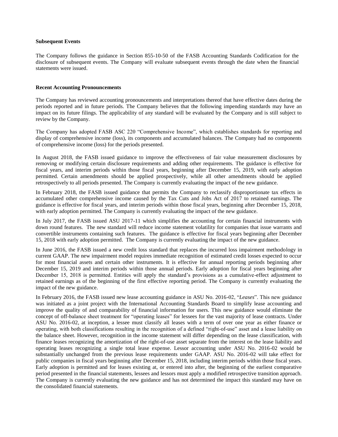#### **Subsequent Events**

The Company follows the guidance in Section 855-10-50 of the FASB Accounting Standards Codification for the disclosure of subsequent events. The Company will evaluate subsequent events through the date when the financial statements were issued.

#### **Recent Accounting Pronouncements**

The Company has reviewed accounting pronouncements and interpretations thereof that have effective dates during the periods reported and in future periods. The Company believes that the following impending standards may have an impact on its future filings. The applicability of any standard will be evaluated by the Company and is still subject to review by the Company.

The Company has adopted FASB ASC 220 "Comprehensive Income", which establishes standards for reporting and display of comprehensive income (loss), its components and accumulated balances. The Company had no components of comprehensive income (loss) for the periods presented.

In August 2018, the FASB issued guidance to improve the effectiveness of fair value measurement disclosures by removing or modifying certain disclosure requirements and adding other requirements. The guidance is effective for fiscal years, and interim periods within those fiscal years, beginning after December 15, 2019, with early adoption permitted. Certain amendments should be applied prospectively, while all other amendments should be applied retrospectively to all periods presented. The Company is currently evaluating the impact of the new guidance.

In February 2018, the FASB issued guidance that permits the Company to reclassify disproportionate tax effects in accumulated other comprehensive income caused by the Tax Cuts and Jobs Act of 2017 to retained earnings. The guidance is effective for fiscal years, and interim periods within those fiscal years, beginning after December 15, 2018, with early adoption permitted. The Company is currently evaluating the impact of the new guidance.

In July 2017, the FASB issued ASU 2017-11 which simplifies the accounting for certain financial instruments with down round features. The new standard will reduce income statement volatility for companies that issue warrants and convertible instruments containing such features. The guidance is effective for fiscal years beginning after December 15, 2018 with early adoption permitted. The Company is currently evaluating the impact of the new guidance.

In June 2016, the FASB issued a new credit loss standard that replaces the incurred loss impairment methodology in current GAAP. The new impairment model requires immediate recognition of estimated credit losses expected to occur for most financial assets and certain other instruments. It is effective for annual reporting periods beginning after December 15, 2019 and interim periods within those annual periods. Early adoption for fiscal years beginning after December 15, 2018 is permitted. Entities will apply the standard's provisions as a cumulative-effect adjustment to retained earnings as of the beginning of the first effective reporting period. The Company is currently evaluating the impact of the new guidance.

In February 2016, the FASB issued new lease accounting guidance in ASU No. 2016-02, "*Leases*". This new guidance was initiated as a joint project with the International Accounting Standards Board to simplify lease accounting and improve the quality of and comparability of financial information for users. This new guidance would eliminate the concept of off-balance sheet treatment for "operating leases" for lessees for the vast majority of lease contracts. Under ASU No. 2016-02, at inception, a lessee must classify all leases with a term of over one year as either finance or operating, with both classifications resulting in the recognition of a defined "right-of-use" asset and a lease liability on the balance sheet. However, recognition in the income statement will differ depending on the lease classification, with finance leases recognizing the amortization of the right-of-use asset separate from the interest on the lease liability and operating leases recognizing a single total lease expense. Lessor accounting under ASU No. 2016-02 would be substantially unchanged from the previous lease requirements under GAAP. ASU No. 2016-02 will take effect for public companies in fiscal years beginning after December 15, 2018, including interim periods within those fiscal years. Early adoption is permitted and for leases existing at, or entered into after, the beginning of the earliest comparative period presented in the financial statements, lessees and lessors must apply a modified retrospective transition approach. The Company is currently evaluating the new guidance and has not determined the impact this standard may have on the consolidated financial statements.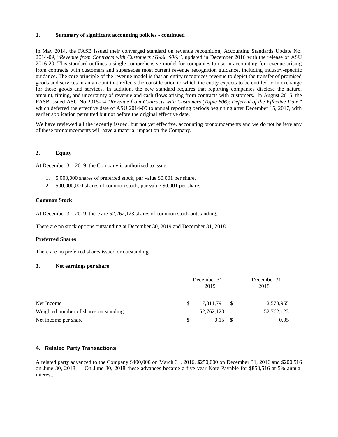#### **1. Summary of significant accounting policies - continued**

In May 2014, the FASB issued their converged standard on revenue recognition, Accounting Standards Update No. 2014-09, "*Revenue from Contracts with Customers (Topic 606)"*, updated in December 2016 with the release of ASU 2016-20. This standard outlines a single comprehensive model for companies to use in accounting for revenue arising from contracts with customers and supersedes most current revenue recognition guidance, including industry-specific guidance. The core principle of the revenue model is that an entity recognizes revenue to depict the transfer of promised goods and services in an amount that reflects the consideration to which the entity expects to be entitled to in exchange for those goods and services. In addition, the new standard requires that reporting companies disclose the nature, amount, timing, and uncertainty of revenue and cash flows arising from contracts with customers. In August 2015, the FASB issued ASU No 2015-14 "*Revenue from Contracts with Customers (Topic 606*): *Deferral of the Effective Date,*" which deferred the effective date of ASU 2014-09 to annual reporting periods beginning after December 15, 2017, with earlier application permitted but not before the original effective date.

We have reviewed all the recently issued, but not yet effective, accounting pronouncements and we do not believe any of these pronouncements will have a material impact on the Company.

#### **2. Equity**

At December 31, 2019, the Company is authorized to issue:

- 1. 5,000,000 shares of preferred stock, par value \$0.001 per share.
- 2. 500,000,000 shares of common stock, par value \$0.001 per share.

#### **Common Stock**

At December 31, 2019, there are 52,762,123 shares of common stock outstanding.

There are no stock options outstanding at December 30, 2019 and December 31, 2018.

#### **Preferred Shares**

There are no preferred shares issued or outstanding.

#### **3. Net earnings per share**

|                                       |    | December 31.<br>2019 | December 31.<br>2018 |            |  |
|---------------------------------------|----|----------------------|----------------------|------------|--|
| Net Income                            | S  | 7,811,791 \$         |                      | 2,573,965  |  |
| Weighted number of shares outstanding |    | 52,762,123           |                      | 52,762,123 |  |
| Net income per share                  | -S | 0.15                 |                      | 0.05       |  |

#### **4. Related Party Transactions**

A related party advanced to the Company \$400,000 on March 31, 2016, \$250,000 on December 31, 2016 and \$200,516 on June 30, 2018. On June 30, 2018 these advances became a five year Note Payable for \$850,516 at 5% annual interest.